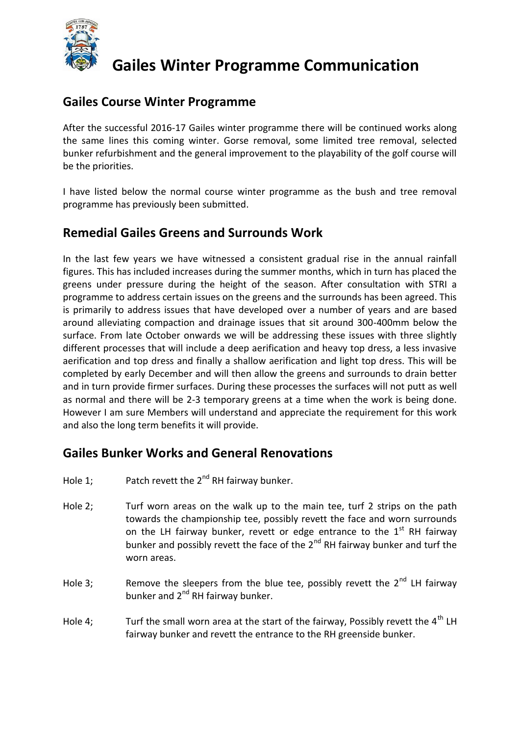

# **Gailes Winter Programme Communication**

#### **Gailes Course Winter Programme**

After the successful 2016-17 Gailes winter programme there will be continued works along the same lines this coming winter. Gorse removal, some limited tree removal, selected bunker refurbishment and the general improvement to the playability of the golf course will be the priorities.

I have listed below the normal course winter programme as the bush and tree removal programme has previously been submitted.

### **Remedial Gailes Greens and Surrounds Work**

In the last few years we have witnessed a consistent gradual rise in the annual rainfall figures. This has included increases during the summer months, which in turn has placed the greens under pressure during the height of the season. After consultation with STRI a programme to address certain issues on the greens and the surrounds has been agreed. This is primarily to address issues that have developed over a number of years and are based around alleviating compaction and drainage issues that sit around 300-400mm below the surface. From late October onwards we will be addressing these issues with three slightly different processes that will include a deep aerification and heavy top dress, a less invasive aerification and top dress and finally a shallow aerification and light top dress. This will be completed by early December and will then allow the greens and surrounds to drain better and in turn provide firmer surfaces. During these processes the surfaces will not putt as well as normal and there will be 2-3 temporary greens at a time when the work is being done. However I am sure Members will understand and appreciate the requirement for this work and also the long term benefits it will provide.

#### **Gailes Bunker Works and General Renovations**

- Hole 1: Patch revett the  $2^{nd}$  RH fairway bunker.
- Hole 2; Turf worn areas on the walk up to the main tee, turf 2 strips on the path towards the championship tee, possibly revett the face and worn surrounds on the LH fairway bunker, revett or edge entrance to the  $1<sup>st</sup>$  RH fairway bunker and possibly revett the face of the  $2^{nd}$  RH fairway bunker and turf the worn areas.
- Hole 3; Remove the sleepers from the blue tee, possibly revett the  $2^{nd}$  LH fairway bunker and 2<sup>nd</sup> RH fairway bunker.
- Hole 4; Turf the small worn area at the start of the fairway, Possibly revett the  $4<sup>th</sup>$  LH fairway bunker and revett the entrance to the RH greenside bunker.